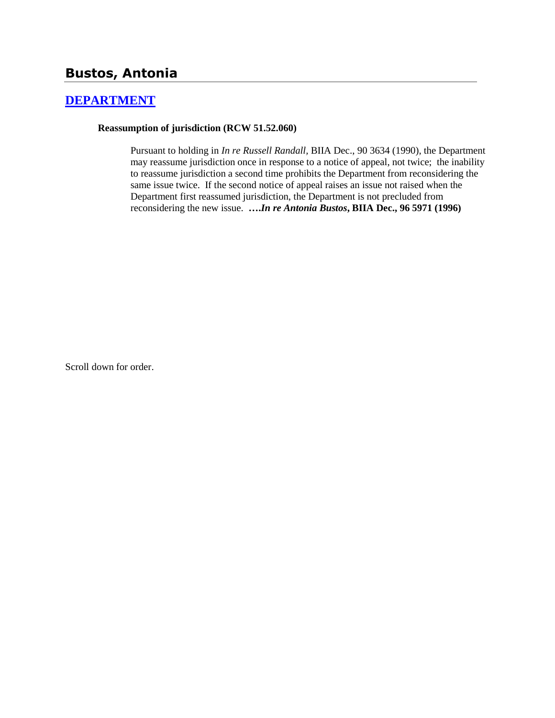# **Bustos, Antonia**

## **[DEPARTMENT](http://www.biia.wa.gov/SDSubjectIndex.html#DEPARTMENT)**

#### **Reassumption of jurisdiction (RCW 51.52.060)**

Pursuant to holding in *In re Russell Randall,* BIIA Dec., 90 3634 (1990), the Department may reassume jurisdiction once in response to a notice of appeal, not twice; the inability to reassume jurisdiction a second time prohibits the Department from reconsidering the same issue twice. If the second notice of appeal raises an issue not raised when the Department first reassumed jurisdiction, the Department is not precluded from reconsidering the new issue. **….***In re Antonia Bustos***, BIIA Dec., 96 5971 (1996)** 

Scroll down for order.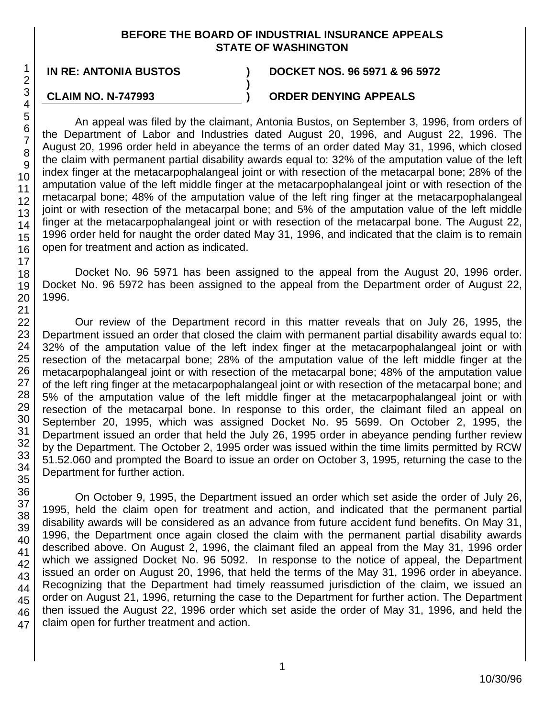#### **BEFORE THE BOARD OF INDUSTRIAL INSURANCE APPEALS STATE OF WASHINGTON**

**)**

### **IN RE: ANTONIA BUSTOS ) DOCKET NOS. 96 5971 & 96 5972**

#### **CLAIM NO. N-747993**

### **) ORDER DENYING APPEALS**

An appeal was filed by the claimant, Antonia Bustos, on September 3, 1996, from orders of the Department of Labor and Industries dated August 20, 1996, and August 22, 1996. The August 20, 1996 order held in abeyance the terms of an order dated May 31, 1996, which closed the claim with permanent partial disability awards equal to: 32% of the amputation value of the left index finger at the metacarpophalangeal joint or with resection of the metacarpal bone; 28% of the amputation value of the left middle finger at the metacarpophalangeal joint or with resection of the metacarpal bone; 48% of the amputation value of the left ring finger at the metacarpophalangeal joint or with resection of the metacarpal bone; and 5% of the amputation value of the left middle finger at the metacarpophalangeal joint or with resection of the metacarpal bone. The August 22, 1996 order held for naught the order dated May 31, 1996, and indicated that the claim is to remain open for treatment and action as indicated.

Docket No. 96 5971 has been assigned to the appeal from the August 20, 1996 order. Docket No. 96 5972 has been assigned to the appeal from the Department order of August 22, 1996.

Our review of the Department record in this matter reveals that on July 26, 1995, the Department issued an order that closed the claim with permanent partial disability awards equal to: 32% of the amputation value of the left index finger at the metacarpophalangeal joint or with resection of the metacarpal bone; 28% of the amputation value of the left middle finger at the metacarpophalangeal joint or with resection of the metacarpal bone; 48% of the amputation value of the left ring finger at the metacarpophalangeal joint or with resection of the metacarpal bone; and 5% of the amputation value of the left middle finger at the metacarpophalangeal joint or with resection of the metacarpal bone. In response to this order, the claimant filed an appeal on September 20, 1995, which was assigned Docket No. 95 5699. On October 2, 1995, the Department issued an order that held the July 26, 1995 order in abeyance pending further review by the Department. The October 2, 1995 order was issued within the time limits permitted by RCW 51.52.060 and prompted the Board to issue an order on October 3, 1995, returning the case to the Department for further action.

47 On October 9, 1995, the Department issued an order which set aside the order of July 26, 1995, held the claim open for treatment and action, and indicated that the permanent partial disability awards will be considered as an advance from future accident fund benefits. On May 31, 1996, the Department once again closed the claim with the permanent partial disability awards described above. On August 2, 1996, the claimant filed an appeal from the May 31, 1996 order which we assigned Docket No. 96 5092. In response to the notice of appeal, the Department issued an order on August 20, 1996, that held the terms of the May 31, 1996 order in abeyance. Recognizing that the Department had timely reassumed jurisdiction of the claim, we issued an order on August 21, 1996, returning the case to the Department for further action. The Department then issued the August 22, 1996 order which set aside the order of May 31, 1996, and held the claim open for further treatment and action.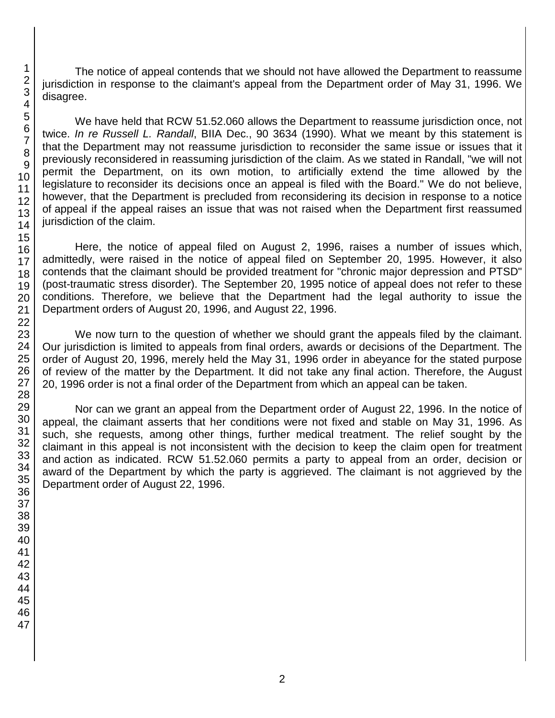The notice of appeal contends that we should not have allowed the Department to reassume jurisdiction in response to the claimant's appeal from the Department order of May 31, 1996. We disagree.

We have held that RCW 51.52.060 allows the Department to reassume jurisdiction once, not twice. *In re Russell L. Randall*, BIIA Dec., 90 3634 (1990). What we meant by this statement is that the Department may not reassume jurisdiction to reconsider the same issue or issues that it previously reconsidered in reassuming jurisdiction of the claim. As we stated in Randall, "we will not permit the Department, on its own motion, to artificially extend the time allowed by the legislature to reconsider its decisions once an appeal is filed with the Board." We do not believe, however, that the Department is precluded from reconsidering its decision in response to a notice of appeal if the appeal raises an issue that was not raised when the Department first reassumed jurisdiction of the claim.

Here, the notice of appeal filed on August 2, 1996, raises a number of issues which, admittedly, were raised in the notice of appeal filed on September 20, 1995. However, it also contends that the claimant should be provided treatment for "chronic major depression and PTSD" (post-traumatic stress disorder). The September 20, 1995 notice of appeal does not refer to these conditions. Therefore, we believe that the Department had the legal authority to issue the Department orders of August 20, 1996, and August 22, 1996.

We now turn to the question of whether we should grant the appeals filed by the claimant. Our jurisdiction is limited to appeals from final orders, awards or decisions of the Department. The order of August 20, 1996, merely held the May 31, 1996 order in abeyance for the stated purpose of review of the matter by the Department. It did not take any final action. Therefore, the August 20, 1996 order is not a final order of the Department from which an appeal can be taken.

Nor can we grant an appeal from the Department order of August 22, 1996. In the notice of appeal, the claimant asserts that her conditions were not fixed and stable on May 31, 1996. As such, she requests, among other things, further medical treatment. The relief sought by the claimant in this appeal is not inconsistent with the decision to keep the claim open for treatment and action as indicated. RCW 51.52.060 permits a party to appeal from an order, decision or award of the Department by which the party is aggrieved. The claimant is not aggrieved by the Department order of August 22, 1996.